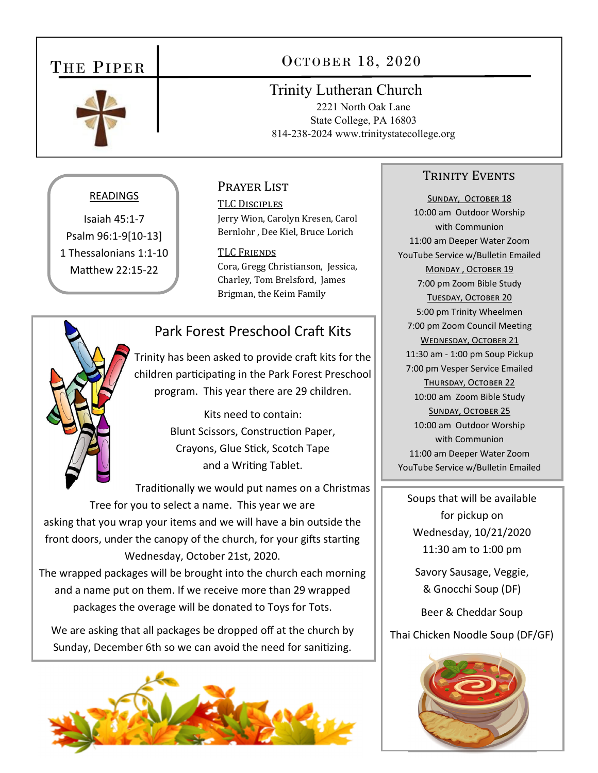# THE PIPER



# OCTOBER 18, 2020

## **Trinity Lutheran Church**

2221 North Oak Lane State College, PA 16803 814-238-2024 www.trinitystatecollege.org

### READINGS

Isaiah  $45:1-7$ Psalm 96:1-9[10-13] 1 Thessalonians 1:1-10 Matthew 22:15-22

#### PRAYER LIST

**TLC DISCIPLES** Jerry Wion, Carolyn Kresen, Carol Bernlohr, Dee Kiel, Bruce Lorich

**TLC FRIENDS** Cora, Gregg Christianson, Jessica, Charley, Tom Brelsford, James Brigman, the Keim Family

## Park Forest Preschool Craft Kits

Trinity has been asked to provide craft kits for the children participating in the Park Forest Preschool program. This year there are 29 children.

> Kits need to contain: Blunt Scissors, Construction Paper, Crayons, Glue Stick, Scotch Tape and a Writing Tablet.

Traditionally we would put names on a Christmas Tree for you to select a name. This year we are asking that you wrap your items and we will have a bin outside the front doors, under the canopy of the church, for your gifts starting Wednesday, October 21st, 2020.

The wrapped packages will be brought into the church each morning and a name put on them. If we receive more than 29 wrapped packages the overage will be donated to Toys for Tots.

We are asking that all packages be dropped off at the church by Sunday, December 6th so we can avoid the need for sanitizing.



### **TRINITY EVENTS**

SUNDAY, OCTOBER 18 10:00 am Outdoor Worship with Communion 11:00 am Deeper Water Zoom YouTube Service w/Bulletin Emailed MONDAY, OCTOBER 19 7:00 pm Zoom Bible Study **TUESDAY, OCTOBER 20** 5:00 pm Trinity Wheelmen 7:00 pm Zoom Council Meeting WEDNESDAY, OCTOBER 21 11:30 am - 1:00 pm Soup Pickup 7:00 pm Vesper Service Emailed THURSDAY, OCTOBER 22 10:00 am Zoom Bible Study **SUNDAY, OCTOBER 25** 10:00 am Outdoor Worship with Communion 11:00 am Deeper Water Zoom YouTube Service w/Bulletin Emailed

Soups that will be available for pickup on Wednesday, 10/21/2020 11:30 am to 1:00 pm

Savory Sausage, Veggie, & Gnocchi Soup (DF)

Beer & Cheddar Soup

Thai Chicken Noodle Soup (DF/GF)

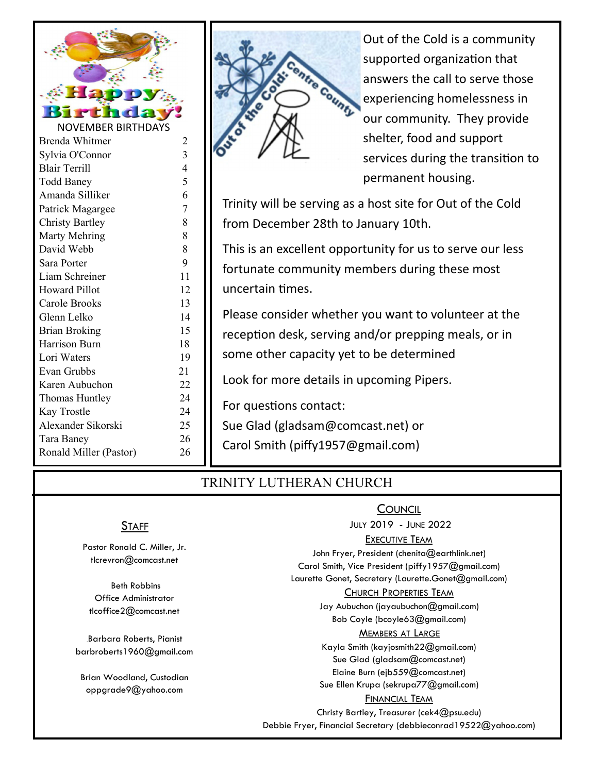



Out of the Cold is a community supported organization that answers the call to serve those experiencing homelessness in our community. They provide shelter, food and support services during the transition to permanent housing.

Trinity will be serving as a host site for Out of the Cold from December 28th to January 10th.

This is an excellent opportunity for us to serve our less fortunate community members during these most uncertain Ɵmes.

Please consider whether you want to volunteer at the reception desk, serving and/or prepping meals, or in some other capacity yet to be determined

Look for more details in upcoming Pipers.

For questions contact:

Sue Glad (gladsam@comcast.net) or

Carol Smith (piffy1957@gmail.com)

### TRINITY LUTHERAN CHURCH

### **STAFF**

Pastor Ronald C. Miller, Jr. tlcrevron@comcast.net

 Beth Robbins Office Administrator tlcoffice2@comcast.net

Barbara Roberts, Pianist barbroberts1960@gmail.com

Brian Woodland, Custodian oppgrade9@yahoo.com

#### JULY 2019 - JUNE 2022 EXECUTIVE TEAM John Fryer, President (chenita@earthlink.net) Carol Smith, Vice President (piffy1957@gmail.com) Laurette Gonet, Secretary (Laurette.Gonet@gmail.com) CHURCH PROPERTIES TEAM Jay Aubuchon (jayaubuchon@gmail.com) Bob Coyle (bcoyle63@gmail.com) MEMBERS AT LARGE Kayla Smith (kayjosmith22@gmail.com) Sue Glad (gladsam@comcast.net) Elaine Burn (ejb559@comcast.net)

**COUNCIL** 

Sue Ellen Krupa (sekrupa77@gmail.com)

#### FINANCIAL TEAM

Christy Bartley, Treasurer (cek4@psu.edu) Debbie Fryer, Financial Secretary (debbieconrad19522@yahoo.com)